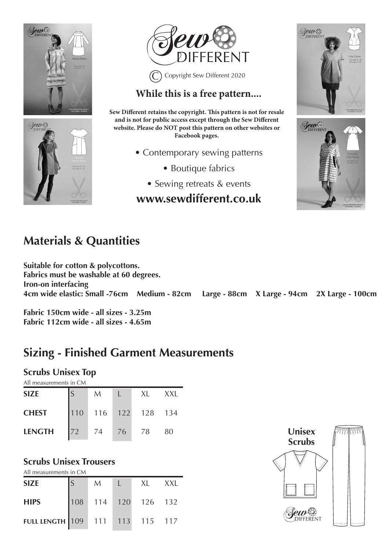





### **While this is a free pattern....**

**Sew Different retains the copyright. This pattern is not for resale and is not for public access except through the Sew Different website. Please do NOT post this pattern on other websites or Facebook pages.**

- Contemporary sewing patterns
	- Boutique fabrics
	- Sewing retreats & events

### **www.sewdifferent.co.uk**





# **Materials & Quantities**

**Suitable for cotton & polycottons. Fabrics must be washable at 60 degrees. Iron-on interfacing 4cm 22 Large - 88cm 28 Large - 88cm 2X Large - 100cm** 

**Fabric 150cm wide - all sizes - 3.25m Fabric 112cm wide - all sizes - 4.65m**

# **Sizing - Finished Garment Measurements**

#### **Scrubs Unisex Top**

| All measurements in CM |     |     |     |     |       |  |  |  |
|------------------------|-----|-----|-----|-----|-------|--|--|--|
| <b>SIZE</b>            |     | M   |     | XI. | X X I |  |  |  |
| <b>CHEST</b>           | 110 | 116 | 122 | 128 | 134   |  |  |  |

**LENGTH** 72 74 76 78 80

#### **Scrubs Unisex Trousers**

All measurements in CM

| <b>SIZE</b>                     | M | XL                  | XXI |
|---------------------------------|---|---------------------|-----|
| <b>HIPS</b>                     |   | 108 114 120 126 132 |     |
| FULL LENGTH 109 111 113 115 117 |   |                     |     |

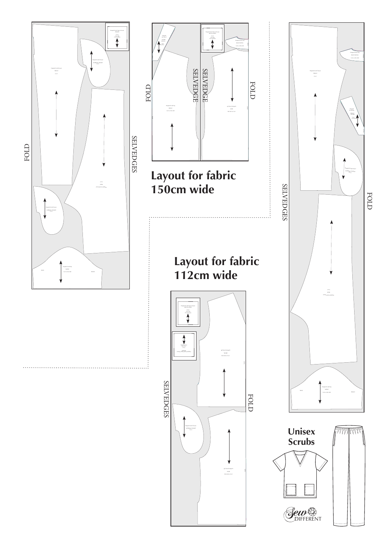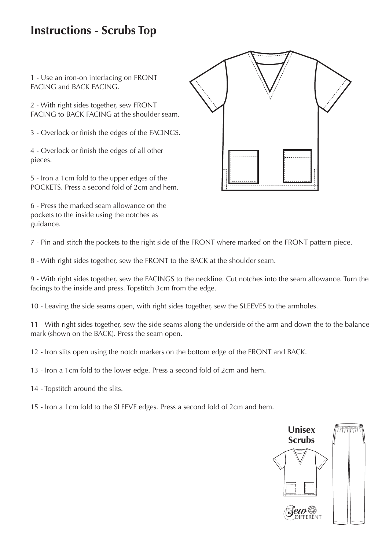## **Instructions - Scrubs Top**

1 - Use an iron-on interfacing on FRONT FACING and BACK FACING.

2 - With right sides together, sew FRONT FACING to BACK FACING at the shoulder seam.

3 - Overlock or finish the edges of the FACINGS.

4 - Overlock or finish the edges of all other pieces.

5 - Iron a 1cm fold to the upper edges of the POCKETS. Press a second fold of 2cm and hem.

6 - Press the marked seam allowance on the pockets to the inside using the notches as guidance.

7 - Pin and stitch the pockets to the right side of the FRONT where marked on the FRONT pattern piece.

8 - With right sides together, sew the FRONT to the BACK at the shoulder seam.

9 - With right sides together, sew the FACINGS to the neckline. Cut notches into the seam allowance. Turn the facings to the inside and press. Topstitch 3cm from the edge.

10 - Leaving the side seams open, with right sides together, sew the SLEEVES to the armholes.

11 - With right sides together, sew the side seams along the underside of the arm and down the to the balance mark (shown on the BACK). Press the seam open.

12 - Iron slits open using the notch markers on the bottom edge of the FRONT and BACK.

13 - Iron a 1cm fold to the lower edge. Press a second fold of 2cm and hem.

14 - Topstitch around the slits.

15 - Iron a 1cm fold to the SLEEVE edges. Press a second fold of 2cm and hem.